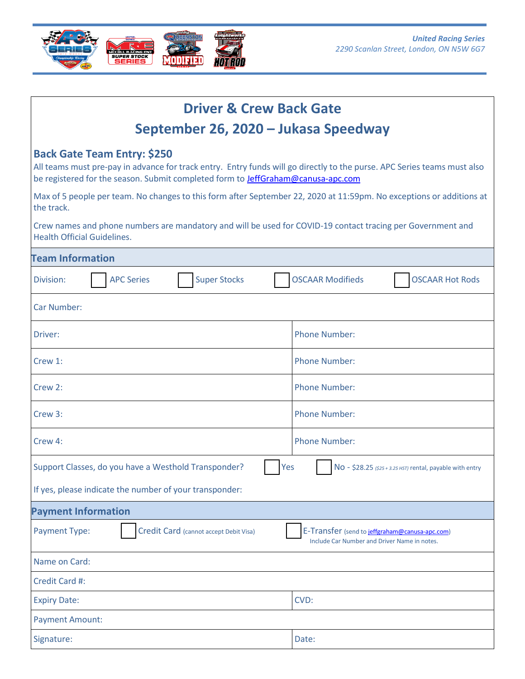

| <b>Driver &amp; Crew Back Gate</b>                                                                                                                                                                                                                        |                                                                                                |
|-----------------------------------------------------------------------------------------------------------------------------------------------------------------------------------------------------------------------------------------------------------|------------------------------------------------------------------------------------------------|
| September 26, 2020 - Jukasa Speedway                                                                                                                                                                                                                      |                                                                                                |
| <b>Back Gate Team Entry: \$250</b><br>All teams must pre-pay in advance for track entry. Entry funds will go directly to the purse. APC Series teams must also<br>be registered for the season. Submit completed form to <b>JeffGraham@canusa-apc.com</b> |                                                                                                |
| Max of 5 people per team. No changes to this form after September 22, 2020 at 11:59pm. No exceptions or additions at<br>the track.                                                                                                                        |                                                                                                |
| Crew names and phone numbers are mandatory and will be used for COVID-19 contact tracing per Government and<br><b>Health Official Guidelines.</b>                                                                                                         |                                                                                                |
| <b>Team Information</b>                                                                                                                                                                                                                                   |                                                                                                |
| <b>Super Stocks</b><br><b>APC Series</b><br>Division:                                                                                                                                                                                                     | <b>OSCAAR Modifieds</b><br><b>OSCAAR Hot Rods</b>                                              |
| <b>Car Number:</b>                                                                                                                                                                                                                                        |                                                                                                |
| Driver:                                                                                                                                                                                                                                                   | <b>Phone Number:</b>                                                                           |
| Crew 1:                                                                                                                                                                                                                                                   | <b>Phone Number:</b>                                                                           |
| Crew 2:                                                                                                                                                                                                                                                   | <b>Phone Number:</b>                                                                           |
| Crew 3:                                                                                                                                                                                                                                                   | <b>Phone Number:</b>                                                                           |
| Crew 4:                                                                                                                                                                                                                                                   | <b>Phone Number:</b>                                                                           |
| Support Classes, do you have a Westhold Transponder?<br>Yes                                                                                                                                                                                               | NO - \$28.25 (\$25 + 3.25 HST) rental, payable with entry                                      |
| If yes, please indicate the number of your transponder:                                                                                                                                                                                                   |                                                                                                |
| <b>Payment Information</b>                                                                                                                                                                                                                                |                                                                                                |
| <b>Payment Type:</b><br>Credit Card (cannot accept Debit Visa)                                                                                                                                                                                            | E-Transfer (send to jeffgraham@canusa-apc.com)<br>Include Car Number and Driver Name in notes. |
| Name on Card:                                                                                                                                                                                                                                             |                                                                                                |
| Credit Card #:                                                                                                                                                                                                                                            |                                                                                                |
| <b>Expiry Date:</b>                                                                                                                                                                                                                                       | CVD:                                                                                           |
| <b>Payment Amount:</b>                                                                                                                                                                                                                                    |                                                                                                |
| Signature:                                                                                                                                                                                                                                                | Date:                                                                                          |